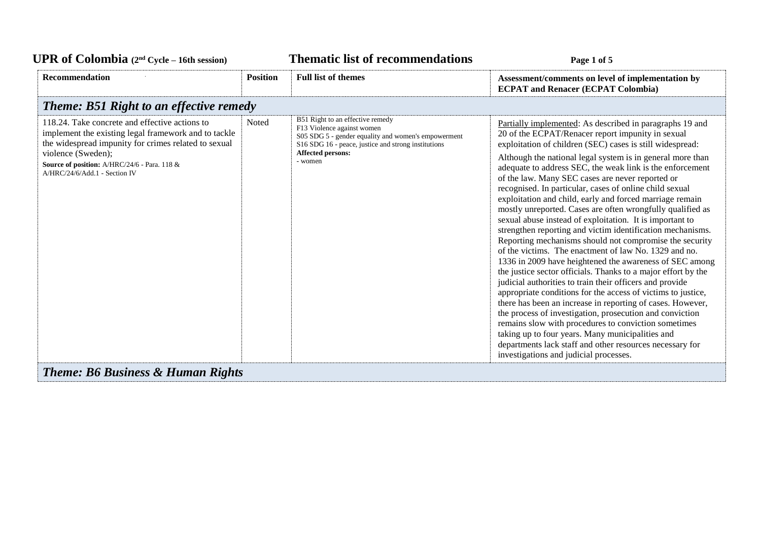| <b>UPR of Colombia</b> $(2^{nd}$ Cycle – 16th session)                                                                                                                                                                                                                |                 | <b>Thematic list of recommendations</b>                                                                                                                                                                             | Page 1 of 5                                                                                                                                                                                                                                                                                                                                                                                                                                                                                                                                                                                                                                                                                                                                                                                                                                                                                                                                                                                                                                                                                                                                                                                                                                                                                                                                                                                      |
|-----------------------------------------------------------------------------------------------------------------------------------------------------------------------------------------------------------------------------------------------------------------------|-----------------|---------------------------------------------------------------------------------------------------------------------------------------------------------------------------------------------------------------------|--------------------------------------------------------------------------------------------------------------------------------------------------------------------------------------------------------------------------------------------------------------------------------------------------------------------------------------------------------------------------------------------------------------------------------------------------------------------------------------------------------------------------------------------------------------------------------------------------------------------------------------------------------------------------------------------------------------------------------------------------------------------------------------------------------------------------------------------------------------------------------------------------------------------------------------------------------------------------------------------------------------------------------------------------------------------------------------------------------------------------------------------------------------------------------------------------------------------------------------------------------------------------------------------------------------------------------------------------------------------------------------------------|
| <b>Recommendation</b>                                                                                                                                                                                                                                                 | <b>Position</b> | <b>Full list of themes</b>                                                                                                                                                                                          | Assessment/comments on level of implementation by<br><b>ECPAT and Renacer (ECPAT Colombia)</b>                                                                                                                                                                                                                                                                                                                                                                                                                                                                                                                                                                                                                                                                                                                                                                                                                                                                                                                                                                                                                                                                                                                                                                                                                                                                                                   |
| <b>Theme: B51 Right to an effective remedy</b>                                                                                                                                                                                                                        |                 |                                                                                                                                                                                                                     |                                                                                                                                                                                                                                                                                                                                                                                                                                                                                                                                                                                                                                                                                                                                                                                                                                                                                                                                                                                                                                                                                                                                                                                                                                                                                                                                                                                                  |
| 118.24. Take concrete and effective actions to<br>implement the existing legal framework and to tackle<br>the widespread impunity for crimes related to sexual<br>violence (Sweden);<br>Source of position: A/HRC/24/6 - Para. 118 &<br>A/HRC/24/6/Add.1 - Section IV | Noted           | B51 Right to an effective remedy<br>F13 Violence against women<br>S05 SDG 5 - gender equality and women's empowerment<br>S16 SDG 16 - peace, justice and strong institutions<br><b>Affected persons:</b><br>- women | Partially implemented: As described in paragraphs 19 and<br>20 of the ECPAT/Renacer report impunity in sexual<br>exploitation of children (SEC) cases is still widespread:<br>Although the national legal system is in general more than<br>adequate to address SEC, the weak link is the enforcement<br>of the law. Many SEC cases are never reported or<br>recognised. In particular, cases of online child sexual<br>exploitation and child, early and forced marriage remain<br>mostly unreported. Cases are often wrongfully qualified as<br>sexual abuse instead of exploitation. It is important to<br>strengthen reporting and victim identification mechanisms.<br>Reporting mechanisms should not compromise the security<br>of the victims. The enactment of law No. 1329 and no.<br>1336 in 2009 have heightened the awareness of SEC among<br>the justice sector officials. Thanks to a major effort by the<br>judicial authorities to train their officers and provide<br>appropriate conditions for the access of victims to justice,<br>there has been an increase in reporting of cases. However,<br>the process of investigation, prosecution and conviction<br>remains slow with procedures to conviction sometimes<br>taking up to four years. Many municipalities and<br>departments lack staff and other resources necessary for<br>investigations and judicial processes. |
| <b>Theme: B6 Business &amp; Human Rights</b>                                                                                                                                                                                                                          |                 |                                                                                                                                                                                                                     |                                                                                                                                                                                                                                                                                                                                                                                                                                                                                                                                                                                                                                                                                                                                                                                                                                                                                                                                                                                                                                                                                                                                                                                                                                                                                                                                                                                                  |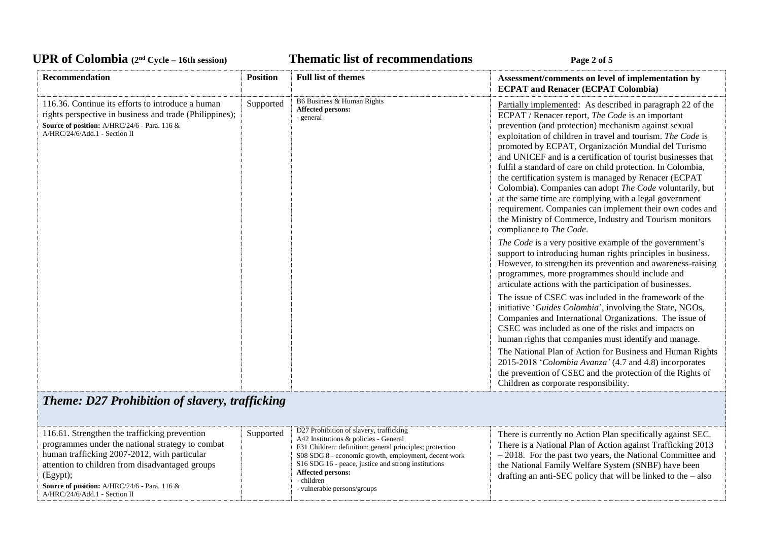### UPR of Colombia  $(2^{nd} \text{ Cycle} - 16th \text{ session})$  **Thematic list of recommendations Page 2** of 5

| <b>Recommendation</b>                                                                                                                                                                         | <b>Position</b> | <b>Full list of themes</b>                                   | Assessment/comments on level of implementation by<br><b>ECPAT and Renacer (ECPAT Colombia)</b>                                                                                                                                                                                                                                                                                                                                                                                                                                                                                                                                                                                                                                                               |
|-----------------------------------------------------------------------------------------------------------------------------------------------------------------------------------------------|-----------------|--------------------------------------------------------------|--------------------------------------------------------------------------------------------------------------------------------------------------------------------------------------------------------------------------------------------------------------------------------------------------------------------------------------------------------------------------------------------------------------------------------------------------------------------------------------------------------------------------------------------------------------------------------------------------------------------------------------------------------------------------------------------------------------------------------------------------------------|
| 116.36. Continue its efforts to introduce a human<br>rights perspective in business and trade (Philippines);<br>Source of position: A/HRC/24/6 - Para. 116 &<br>A/HRC/24/6/Add.1 - Section II | Supported       | B6 Business & Human Rights<br>Affected persons:<br>- general | Partially implemented: As described in paragraph 22 of the<br>ECPAT / Renacer report, The Code is an important<br>prevention (and protection) mechanism against sexual<br>exploitation of children in travel and tourism. The Code is<br>promoted by ECPAT, Organización Mundial del Turismo<br>and UNICEF and is a certification of tourist businesses that<br>fulfil a standard of care on child protection. In Colombia,<br>the certification system is managed by Renacer (ECPAT<br>Colombia). Companies can adopt The Code voluntarily, but<br>at the same time are complying with a legal government<br>requirement. Companies can implement their own codes and<br>the Ministry of Commerce, Industry and Tourism monitors<br>compliance to The Code. |
|                                                                                                                                                                                               |                 |                                                              | The Code is a very positive example of the government's<br>support to introducing human rights principles in business.<br>However, to strengthen its prevention and awareness-raising<br>programmes, more programmes should include and<br>articulate actions with the participation of businesses.                                                                                                                                                                                                                                                                                                                                                                                                                                                          |
|                                                                                                                                                                                               |                 |                                                              | The issue of CSEC was included in the framework of the<br>initiative 'Guides Colombia', involving the State, NGOs,<br>Companies and International Organizations. The issue of<br>CSEC was included as one of the risks and impacts on<br>human rights that companies must identify and manage.                                                                                                                                                                                                                                                                                                                                                                                                                                                               |
|                                                                                                                                                                                               |                 |                                                              | The National Plan of Action for Business and Human Rights<br>2015-2018 'Colombia Avanza' (4.7 and 4.8) incorporates<br>the prevention of CSEC and the protection of the Rights of<br>Children as corporate responsibility.                                                                                                                                                                                                                                                                                                                                                                                                                                                                                                                                   |

# *Theme: D27 Prohibition of slavery, trafficking*

| 116.61. Strengthen the trafficking prevention<br>programmes under the national strategy to combat<br>human trafficking 2007-2012, with particular<br>attention to children from disadvantaged groups<br>(Egypt);<br><b>Source of position:</b> A/HRC/24/6 - Para. 116 $\&$<br>$A/HRC/24/6/Add.1$ - Section II | Supported | D27 Prohibition of slavery, trafficking<br>A42 Institutions & policies - General<br>F31 Children: definition; general principles; protection<br>S08 SDG 8 - economic growth, employment, decent work<br>S16 SDG 16 - peace, justice and strong institutions<br><b>Affected persons:</b><br>- children<br>- vulnerable persons/groups | There is currently no Action Plan specifically against SEC.<br>There is a National Plan of Action against Trafficking 2013<br>$-2018$ . For the past two years, the National Committee and<br>the National Family Welfare System (SNBF) have been<br>drafting an anti-SEC policy that will be linked to the $-$ also |
|---------------------------------------------------------------------------------------------------------------------------------------------------------------------------------------------------------------------------------------------------------------------------------------------------------------|-----------|--------------------------------------------------------------------------------------------------------------------------------------------------------------------------------------------------------------------------------------------------------------------------------------------------------------------------------------|----------------------------------------------------------------------------------------------------------------------------------------------------------------------------------------------------------------------------------------------------------------------------------------------------------------------|
|---------------------------------------------------------------------------------------------------------------------------------------------------------------------------------------------------------------------------------------------------------------------------------------------------------------|-----------|--------------------------------------------------------------------------------------------------------------------------------------------------------------------------------------------------------------------------------------------------------------------------------------------------------------------------------------|----------------------------------------------------------------------------------------------------------------------------------------------------------------------------------------------------------------------------------------------------------------------------------------------------------------------|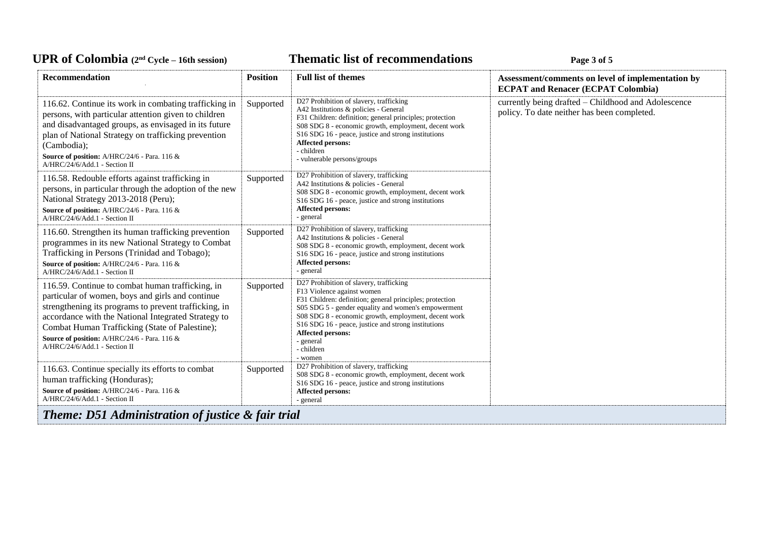## UPR of Colombia  $(2^{nd} \text{ Cycle} - 16th \text{ session})$  **Thematic list of recommendations Page 3** of 5

| Recommendation                                                                                                                                                                                                                                                                                                                                          | <b>Position</b> | <b>Full list of themes</b>                                                                                                                                                                                                                                                                                                                                         | Assessment/comments on level of implementation by<br><b>ECPAT and Renacer (ECPAT Colombia)</b>     |
|---------------------------------------------------------------------------------------------------------------------------------------------------------------------------------------------------------------------------------------------------------------------------------------------------------------------------------------------------------|-----------------|--------------------------------------------------------------------------------------------------------------------------------------------------------------------------------------------------------------------------------------------------------------------------------------------------------------------------------------------------------------------|----------------------------------------------------------------------------------------------------|
| 116.62. Continue its work in combating trafficking in<br>persons, with particular attention given to children<br>and disadvantaged groups, as envisaged in its future<br>plan of National Strategy on trafficking prevention<br>(Cambodia);<br>Source of position: A/HRC/24/6 - Para. 116 &<br>A/HRC/24/6/Add.1 - Section II                            | Supported       | D27 Prohibition of slavery, trafficking<br>A42 Institutions & policies - General<br>F31 Children: definition; general principles; protection<br>S08 SDG 8 - economic growth, employment, decent work<br>S16 SDG 16 - peace, justice and strong institutions<br><b>Affected persons:</b><br>- children<br>- vulnerable persons/groups                               | currently being drafted - Childhood and Adolescence<br>policy. To date neither has been completed. |
| 116.58. Redouble efforts against trafficking in<br>persons, in particular through the adoption of the new<br>National Strategy 2013-2018 (Peru);<br>Source of position: A/HRC/24/6 - Para. 116 &<br>A/HRC/24/6/Add.1 - Section II                                                                                                                       | Supported       | D27 Prohibition of slavery, trafficking<br>A42 Institutions & policies - General<br>S08 SDG 8 - economic growth, employment, decent work<br>S16 SDG 16 - peace, justice and strong institutions<br>Affected persons:<br>- general                                                                                                                                  |                                                                                                    |
| 116.60. Strengthen its human trafficking prevention<br>programmes in its new National Strategy to Combat<br>Trafficking in Persons (Trinidad and Tobago);<br>Source of position: A/HRC/24/6 - Para. 116 &<br>A/HRC/24/6/Add.1 - Section II                                                                                                              | Supported       | D27 Prohibition of slavery, trafficking<br>A42 Institutions & policies - General<br>S08 SDG 8 - economic growth, employment, decent work<br>S16 SDG 16 - peace, justice and strong institutions<br>Affected persons:<br>- general                                                                                                                                  |                                                                                                    |
| 116.59. Continue to combat human trafficking, in<br>particular of women, boys and girls and continue<br>strengthening its programs to prevent trafficking, in<br>accordance with the National Integrated Strategy to<br>Combat Human Trafficking (State of Palestine);<br>Source of position: A/HRC/24/6 - Para. 116 &<br>A/HRC/24/6/Add.1 - Section II | Supported       | D27 Prohibition of slavery, trafficking<br>F13 Violence against women<br>F31 Children: definition; general principles; protection<br>S05 SDG 5 - gender equality and women's empowerment<br>S08 SDG 8 - economic growth, employment, decent work<br>S16 SDG 16 - peace, justice and strong institutions<br>Affected persons:<br>- general<br>- children<br>- women |                                                                                                    |
| 116.63. Continue specially its efforts to combat<br>human trafficking (Honduras);<br>Source of position: A/HRC/24/6 - Para. 116 &<br>A/HRC/24/6/Add.1 - Section II                                                                                                                                                                                      | Supported       | D27 Prohibition of slavery, trafficking<br>S08 SDG 8 - economic growth, employment, decent work<br>S16 SDG 16 - peace, justice and strong institutions<br><b>Affected persons:</b><br>- general                                                                                                                                                                    |                                                                                                    |
| <b>Theme: D51 Administration of justice &amp; fair trial</b>                                                                                                                                                                                                                                                                                            |                 |                                                                                                                                                                                                                                                                                                                                                                    |                                                                                                    |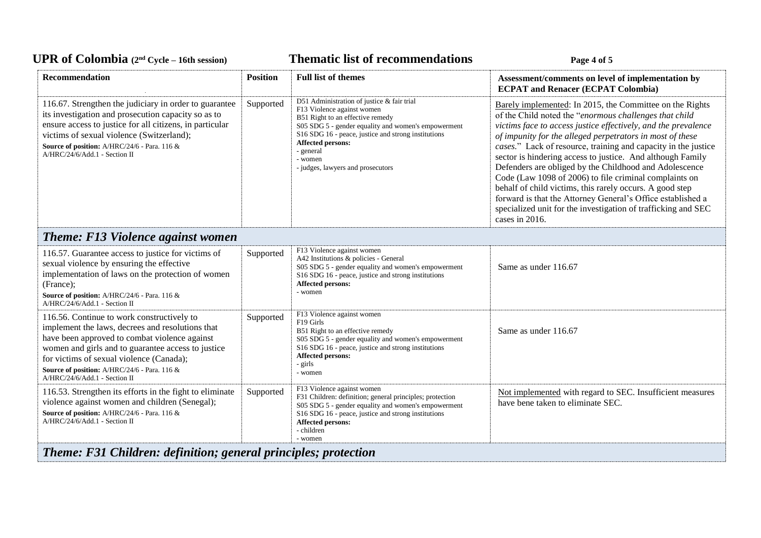### UPR of Colombia  $(2^{nd} \text{ Cycle} - 16th \text{ session})$  **Thematic list of recommendations Page 4** of 5

| <b>Recommendation</b>                                                                                                                                                                                                                                                                                                              | <b>Position</b> | <b>Full list of themes</b>                                                                                                                                                                                                                                                                                          | Assessment/comments on level of implementation by<br><b>ECPAT and Renacer (ECPAT Colombia)</b>                                                                                                                                                                                                                                                                                                                                                                                                                                                                                                                                                                                                                      |  |
|------------------------------------------------------------------------------------------------------------------------------------------------------------------------------------------------------------------------------------------------------------------------------------------------------------------------------------|-----------------|---------------------------------------------------------------------------------------------------------------------------------------------------------------------------------------------------------------------------------------------------------------------------------------------------------------------|---------------------------------------------------------------------------------------------------------------------------------------------------------------------------------------------------------------------------------------------------------------------------------------------------------------------------------------------------------------------------------------------------------------------------------------------------------------------------------------------------------------------------------------------------------------------------------------------------------------------------------------------------------------------------------------------------------------------|--|
| 116.67. Strengthen the judiciary in order to guarantee<br>its investigation and prosecution capacity so as to<br>ensure access to justice for all citizens, in particular<br>victims of sexual violence (Switzerland);<br>Source of position: A/HRC/24/6 - Para. 116 &<br>A/HRC/24/6/Add.1 - Section II                            | Supported       | D51 Administration of justice & fair trial<br>F13 Violence against women<br>B51 Right to an effective remedy<br>S05 SDG 5 - gender equality and women's empowerment<br>S16 SDG 16 - peace, justice and strong institutions<br><b>Affected persons:</b><br>- general<br>- women<br>- judges, lawyers and prosecutors | Barely implemented: In 2015, the Committee on the Rights<br>of the Child noted the "enormous challenges that child<br>victims face to access justice effectively, and the prevalence<br>of impunity for the alleged perpetrators in most of these<br>cases." Lack of resource, training and capacity in the justice<br>sector is hindering access to justice. And although Family<br>Defenders are obliged by the Childhood and Adolescence<br>Code (Law 1098 of 2006) to file criminal complaints on<br>behalf of child victims, this rarely occurs. A good step<br>forward is that the Attorney General's Office established a<br>specialized unit for the investigation of trafficking and SEC<br>cases in 2016. |  |
| <b>Theme: F13 Violence against women</b>                                                                                                                                                                                                                                                                                           |                 |                                                                                                                                                                                                                                                                                                                     |                                                                                                                                                                                                                                                                                                                                                                                                                                                                                                                                                                                                                                                                                                                     |  |
| 116.57. Guarantee access to justice for victims of<br>sexual violence by ensuring the effective<br>implementation of laws on the protection of women<br>(France);<br>Source of position: A/HRC/24/6 - Para. 116 &<br>A/HRC/24/6/Add.1 - Section II                                                                                 | Supported       | F13 Violence against women<br>A42 Institutions & policies - General<br>S05 SDG 5 - gender equality and women's empowerment<br>S16 SDG 16 - peace, justice and strong institutions<br><b>Affected persons:</b><br>- women                                                                                            | Same as under 116.67                                                                                                                                                                                                                                                                                                                                                                                                                                                                                                                                                                                                                                                                                                |  |
| 116.56. Continue to work constructively to<br>implement the laws, decrees and resolutions that<br>have been approved to combat violence against<br>women and girls and to guarantee access to justice<br>for victims of sexual violence (Canada);<br>Source of position: A/HRC/24/6 - Para. 116 &<br>A/HRC/24/6/Add.1 - Section II | Supported       | F13 Violence against women<br>F19 Girls<br>B51 Right to an effective remedy<br>S05 SDG 5 - gender equality and women's empowerment<br>S16 SDG 16 - peace, justice and strong institutions<br><b>Affected persons:</b><br>- girls<br>- women                                                                         | Same as under 116.67                                                                                                                                                                                                                                                                                                                                                                                                                                                                                                                                                                                                                                                                                                |  |
| 116.53. Strengthen its efforts in the fight to eliminate<br>violence against women and children (Senegal);<br>Source of position: A/HRC/24/6 - Para. 116 &<br>A/HRC/24/6/Add.1 - Section II                                                                                                                                        | Supported       | F13 Violence against women<br>F31 Children: definition; general principles; protection<br>S05 SDG 5 - gender equality and women's empowerment<br>S16 SDG 16 - peace, justice and strong institutions<br><b>Affected persons:</b><br>- children<br>- women                                                           | Not implemented with regard to SEC. Insufficient measures<br>have bene taken to eliminate SEC.                                                                                                                                                                                                                                                                                                                                                                                                                                                                                                                                                                                                                      |  |
| <b>Theme: F31 Children: definition; general principles; protection</b>                                                                                                                                                                                                                                                             |                 |                                                                                                                                                                                                                                                                                                                     |                                                                                                                                                                                                                                                                                                                                                                                                                                                                                                                                                                                                                                                                                                                     |  |